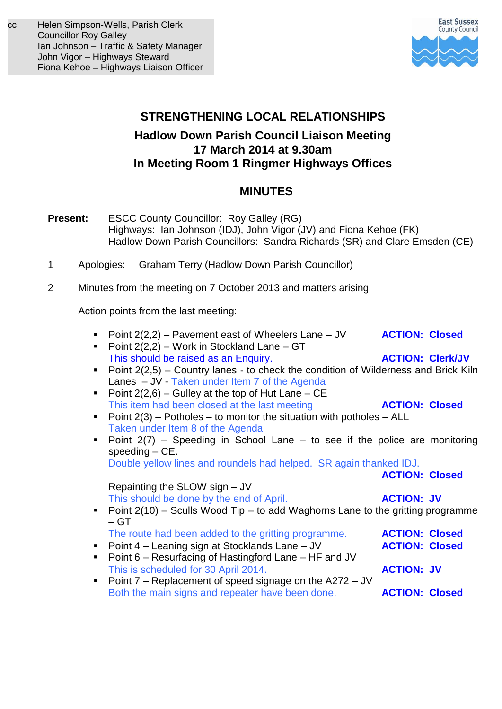

# **STRENGTHENING LOCAL RELATIONSHIPS Hadlow Down Parish Council Liaison Meeting 17 March 2014 at 9.30am In Meeting Room 1 Ringmer Highways Offices**

# **MINUTES**

- **Present:** ESCC County Councillor: Roy Galley (RG) Highways:Ian Johnson (IDJ), John Vigor (JV) and Fiona Kehoe (FK) Hadlow Down Parish Councillors: Sandra Richards (SR) and Clare Emsden (CE)
- 1 Apologies: Graham Terry (Hadlow Down Parish Councillor)
- 2 Minutes from the meeting on 7 October 2013 and matters arising

Action points from the last meeting:

Point 2(2,2) – Pavement east of Wheelers Lane – JV **ACTION: Closed** Point  $2(2,2)$  – Work in Stockland Lane – GT This should be raised as an Enquiry. **ACTION: Clerk/JV** Point  $2(2,5)$  – Country lanes - to check the condition of Wilderness and Brick Kiln Lanes – JV - Taken under Item 7 of the Agenda Point  $2(2,6)$  – Gulley at the top of Hut Lane – CE This item had been closed at the last meeting **ACTION: Closed** Point  $2(3)$  – Potholes – to monitor the situation with potholes – ALL Taken under Item 8 of the Agenda Point  $2(7)$  – Speeding in School Lane – to see if the police are monitoring speeding – CE. Double yellow lines and roundels had helped. SR again thanked IDJ. **ACTION: Closed** Repainting the SLOW sign – JV This should be done by the end of April. **ACTION: JV** Point  $2(10)$  – Sculls Wood Tip – to add Waghorns Lane to the gritting programme  $- GT$ The route had been added to the gritting programme. **ACTION: Closed Point 4 – Leaning sign at Stocklands Lane – JV ACTION: Closed** ■ Point 6 – Resurfacing of Hastingford Lane – HF and JV This is scheduled for 30 April 2014. **ACTION: JV** ■ Point 7 – Replacement of speed signage on the A272 – JV Both the main signs and repeater have been done. **ACTION: Closed**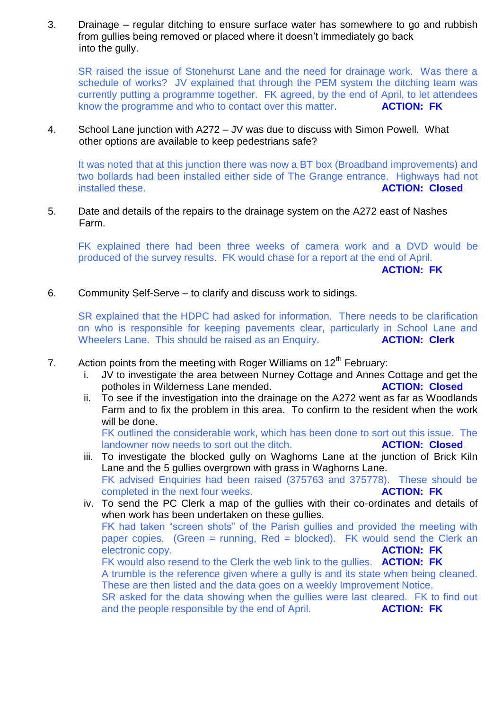3. Drainage – regular ditching to ensure surface water has somewhere to go and rubbish from gullies being removed or placed where it doesn't immediately go back into the gully.

SR raised the issue of Stonehurst Lane and the need for drainage work. Was there a schedule of works? JV explained that through the PEM system the ditching team was currently putting a programme together. FK agreed, by the end of April, to let attendees know the programme and who to contact over this matter. **ACTION: FK**

4. School Lane junction with A272 – JV was due to discuss with Simon Powell. What other options are available to keep pedestrians safe?

It was noted that at this junction there was now a BT box (Broadband improvements) and two bollards had been installed either side of The Grange entrance. Highways had not installed these. **ACTION: Closed**

5. Date and details of the repairs to the drainage system on the A272 east of Nashes Farm.

FK explained there had been three weeks of camera work and a DVD would be produced of the survey results. FK would chase for a report at the end of April.

**ACTION: FK**

6. Community Self-Serve – to clarify and discuss work to sidings.

SR explained that the HDPC had asked for information. There needs to be clarification on who is responsible for keeping pavements clear, particularly in School Lane and Wheelers Lane. This should be raised as an Enquiry. **ACTION: Clerk** 

- 7. Action points from the meeting with Roger Williams on  $12<sup>th</sup>$  February:
	- i. JV to investigate the area between Nurney Cottage and Annes Cottage and get the potholes in Wilderness Lane mended. **ACTION: Closed**
	- ii. To see if the investigation into the drainage on the A272 went as far as Woodlands Farm and to fix the problem in this area. To confirm to the resident when the work will be done.

FK outlined the considerable work, which has been done to sort out this issue. The landowner now needs to sort out the ditch. **ACTION: Closed**

- iii. To investigate the blocked gully on Waghorns Lane at the junction of Brick Kiln Lane and the 5 gullies overgrown with grass in Waghorns Lane. FK advised Enquiries had been raised (375763 and 375778). These should be completed in the next four weeks. **ACTION: FK**
- iv. To send the PC Clerk a map of the gullies with their co-ordinates and details of when work has been undertaken on these gullies. FK had taken "screen shots" of the Parish gullies and provided the meeting with paper copies. (Green = running, Red = blocked). FK would send the Clerk an electronic copy. **ACTION: FK** FK would also resend to the Clerk the web link to the gullies. **ACTION: FK** A trumble is the reference given where a gully is and its state when being cleaned. These are then listed and the data goes on a weekly Improvement Notice. SR asked for the data showing when the gullies were last cleared. FK to find out and the people responsible by the end of April. **ACTION: FK**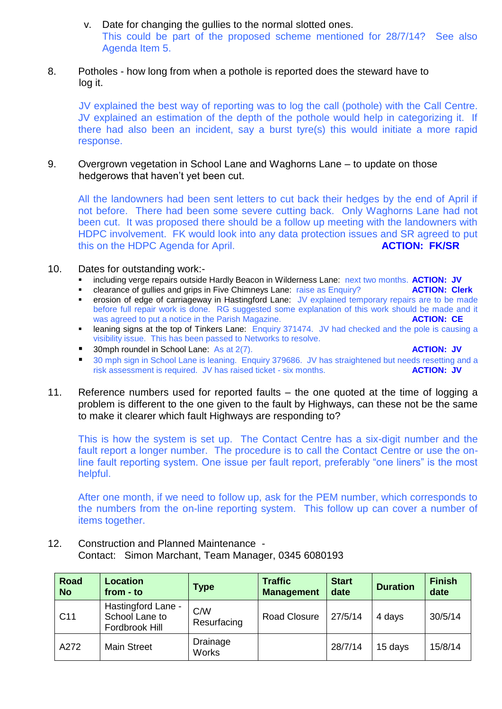v. Date for changing the gullies to the normal slotted ones. This could be part of the proposed scheme mentioned for 28/7/14? See also Agenda Item 5.

## 8. Potholes - how long from when a pothole is reported does the steward have to log it.

JV explained the best way of reporting was to log the call (pothole) with the Call Centre. JV explained an estimation of the depth of the pothole would help in categorizing it. If there had also been an incident, say a burst tyre(s) this would initiate a more rapid response.

9. Overgrown vegetation in School Lane and Waghorns Lane – to update on those hedgerows that haven't yet been cut.

All the landowners had been sent letters to cut back their hedges by the end of April if not before. There had been some severe cutting back. Only Waghorns Lane had not been cut. It was proposed there should be a follow up meeting with the landowners with HDPC involvement. FK would look into any data protection issues and SR agreed to put this on the HDPC Agenda for April. **ACTION: FK/SR** 

#### 10. Dates for outstanding work:-

- including verge repairs outside Hardly Beacon in Wilderness Lane: next two months. **ACTION: JV**
- clearance of gullies and grips in Five Chimneys Lane: raise as Enquiry?
- erosion of edge of carriageway in Hastingford Lane: JV explained temporary repairs are to be made before full repair work is done. RG suggested some explanation of this work should be made and it was agreed to put a notice in the Parish Magazine. **ACTION: CE**
- leaning signs at the top of Tinkers Lane: Enquiry 371474. JV had checked and the pole is causing a visibility issue. This has been passed to Networks to resolve.
- 30mph roundel in School Lane: As at 2(7). **ACTION: JV ACTION: JV**
- 30 mph sign in School Lane is leaning. Enquiry 379686. JV has straightened but needs resetting and a risk assessment is required. JV has raised ticket - six months. **ACTION: JV**
- 11. Reference numbers used for reported faults the one quoted at the time of logging a problem is different to the one given to the fault by Highways, can these not be the same to make it clearer which fault Highways are responding to?

This is how the system is set up. The Contact Centre has a six-digit number and the fault report a longer number. The procedure is to call the Contact Centre or use the online fault reporting system. One issue per fault report, preferably "one liners" is the most helpful.

After one month, if we need to follow up, ask for the PEM number, which corresponds to the numbers from the on-line reporting system. This follow up can cover a number of items together.

12. Construction and Planned Maintenance - Contact: Simon Marchant, Team Manager, 0345 6080193

| Road<br><b>No</b> | <b>Location</b><br>from - to                           | Type               | <b>Traffic</b><br><b>Management</b> | <b>Start</b><br>date | <b>Duration</b> | <b>Finish</b><br>date |
|-------------------|--------------------------------------------------------|--------------------|-------------------------------------|----------------------|-----------------|-----------------------|
| C <sub>11</sub>   | Hastingford Lane -<br>School Lane to<br>Fordbrook Hill | C/W<br>Resurfacing | Road Closure                        | 27/5/14              | 4 days          | 30/5/14               |
| A272              | <b>Main Street</b>                                     | Drainage<br>Works  |                                     | 28/7/14              | 15 days         | 15/8/14               |